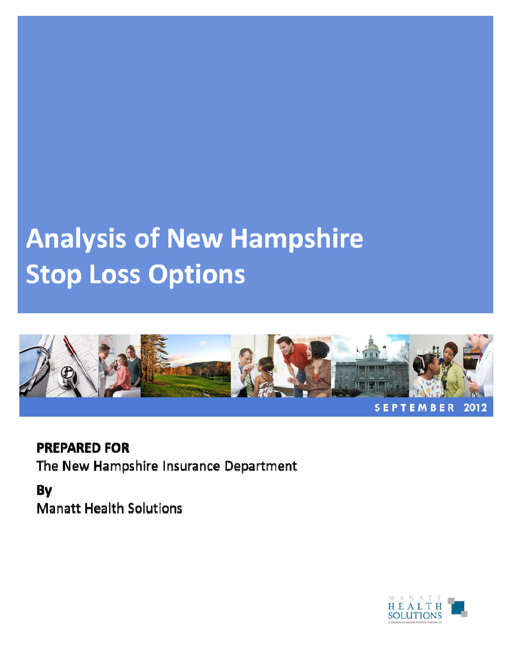# **Analysis of New Hampshire Stop Loss Options**



**PREPARED FOR** The New Hampshire Insurance Department

By **Manatt Health Solutions** 

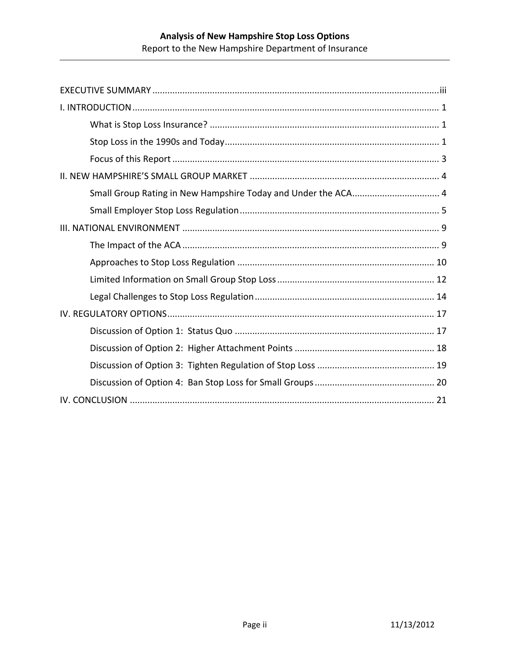| Small Group Rating in New Hampshire Today and Under the ACA 4 |
|---------------------------------------------------------------|
|                                                               |
|                                                               |
|                                                               |
|                                                               |
|                                                               |
|                                                               |
|                                                               |
|                                                               |
|                                                               |
|                                                               |
|                                                               |
|                                                               |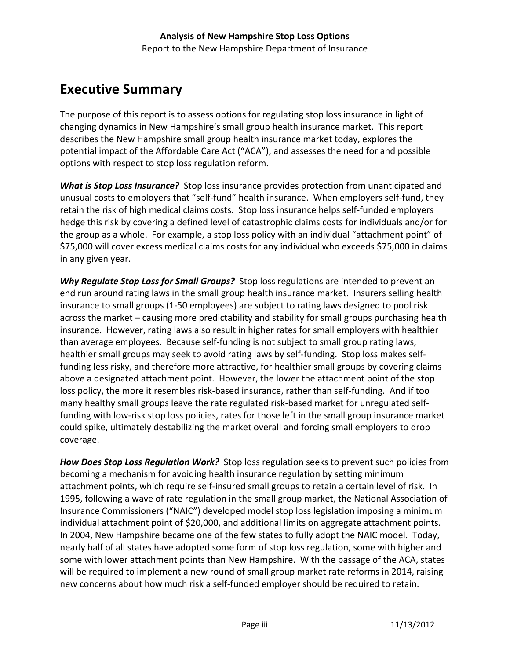# **Executive Summary**

The purpose of this report is to assess options for regulating stop loss insurance in light of changing dynamics in New Hampshire's small group health insurance market. This report describes the New Hampshire small group health insurance market today, explores the potential impact of the Affordable Care Act ("ACA"), and assesses the need for and possible options with respect to stop loss regulation reform.

*What is Stop Loss Insurance?* Stop loss insurance provides protection from unanticipated and unusual costs to employers that "self‐fund" health insurance. When employers self‐fund, they retain the risk of high medical claims costs. Stop loss insurance helps self-funded employers hedge this risk by covering a defined level of catastrophic claims costs for individuals and/or for the group as a whole. For example, a stop loss policy with an individual "attachment point" of \$75,000 will cover excess medical claims costs for any individual who exceeds \$75,000 in claims in any given year.

*Why Regulate Stop Loss for Small Groups?* Stop loss regulations are intended to prevent an end run around rating laws in the small group health insurance market. Insurers selling health insurance to small groups (1‐50 employees) are subject to rating laws designed to pool risk across the market – causing more predictability and stability for small groups purchasing health insurance. However, rating laws also result in higher rates for small employers with healthier than average employees. Because self‐funding is not subject to small group rating laws, healthier small groups may seek to avoid rating laws by self-funding. Stop loss makes selffunding less risky, and therefore more attractive, for healthier small groups by covering claims above a designated attachment point. However, the lower the attachment point of the stop loss policy, the more it resembles risk-based insurance, rather than self-funding. And if too many healthy small groups leave the rate regulated risk‐based market for unregulated self‐ funding with low-risk stop loss policies, rates for those left in the small group insurance market could spike, ultimately destabilizing the market overall and forcing small employers to drop coverage.

*How Does Stop Loss Regulation Work?* Stop loss regulation seeks to prevent such policies from becoming a mechanism for avoiding health insurance regulation by setting minimum attachment points, which require self‐insured small groups to retain a certain level of risk. In 1995, following a wave of rate regulation in the small group market, the National Association of Insurance Commissioners ("NAIC") developed model stop loss legislation imposing a minimum individual attachment point of \$20,000, and additional limits on aggregate attachment points. In 2004, New Hampshire became one of the few states to fully adopt the NAIC model. Today, nearly half of all states have adopted some form of stop loss regulation, some with higher and some with lower attachment points than New Hampshire. With the passage of the ACA, states will be required to implement a new round of small group market rate reforms in 2014, raising new concerns about how much risk a self‐funded employer should be required to retain.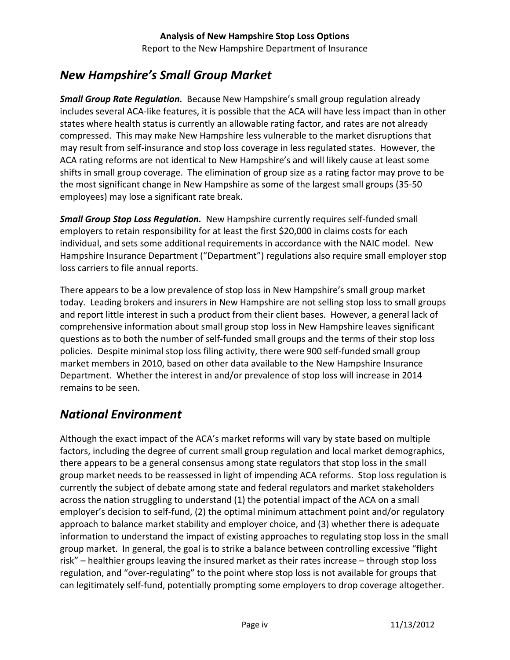#### *New Hampshire's Small Group Market*

*Small Group Rate Regulation.* Because New Hampshire's small group regulation already includes several ACA‐like features, it is possible that the ACA will have less impact than in other states where health status is currently an allowable rating factor, and rates are not already compressed. This may make New Hampshire less vulnerable to the market disruptions that may result from self‐insurance and stop loss coverage in less regulated states. However, the ACA rating reforms are not identical to New Hampshire's and will likely cause at least some shifts in small group coverage. The elimination of group size as a rating factor may prove to be the most significant change in New Hampshire as some of the largest small groups (35‐50 employees) may lose a significant rate break.

*Small Group Stop Loss Regulation.* New Hampshire currently requires self-funded small employers to retain responsibility for at least the first \$20,000 in claims costs for each individual, and sets some additional requirements in accordance with the NAIC model. New Hampshire Insurance Department ("Department") regulations also require small employer stop loss carriers to file annual reports.

There appears to be a low prevalence of stop loss in New Hampshire's small group market today. Leading brokers and insurers in New Hampshire are not selling stop loss to small groups and report little interest in such a product from their client bases. However, a general lack of comprehensive information about small group stop loss in New Hampshire leaves significant questions as to both the number of self‐funded small groups and the terms of their stop loss policies. Despite minimal stop loss filing activity, there were 900 self-funded small group market members in 2010, based on other data available to the New Hampshire Insurance Department. Whether the interest in and/or prevalence of stop loss will increase in 2014 remains to be seen.

#### *National Environment*

Although the exact impact of the ACA's market reforms will vary by state based on multiple factors, including the degree of current small group regulation and local market demographics, there appears to be a general consensus among state regulators that stop loss in the small group market needs to be reassessed in light of impending ACA reforms. Stop loss regulation is currently the subject of debate among state and federal regulators and market stakeholders across the nation struggling to understand (1) the potential impact of the ACA on a small employer's decision to self-fund, (2) the optimal minimum attachment point and/or regulatory approach to balance market stability and employer choice, and (3) whether there is adequate information to understand the impact of existing approaches to regulating stop loss in the small group market. In general, the goal is to strike a balance between controlling excessive "flight risk" – healthier groups leaving the insured market as their rates increase – through stop loss regulation, and "over‐regulating" to the point where stop loss is not available for groups that can legitimately self‐fund, potentially prompting some employers to drop coverage altogether.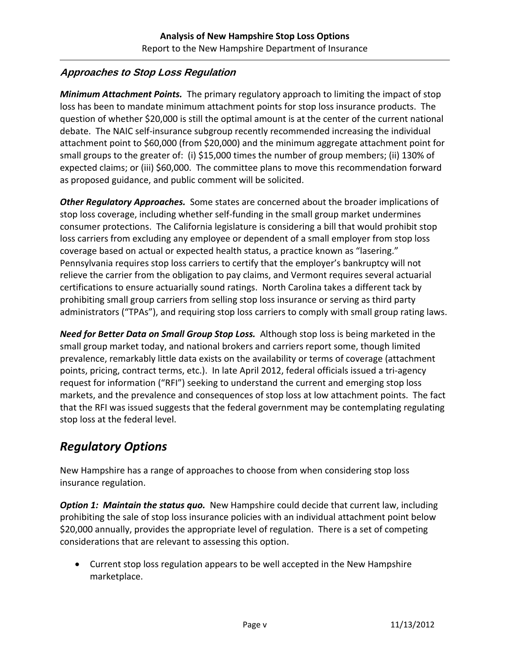#### **Approaches to Stop Loss Regulation**

*Minimum Attachment Points.* The primary regulatory approach to limiting the impact of stop loss has been to mandate minimum attachment points for stop loss insurance products. The question of whether \$20,000 is still the optimal amount is at the center of the current national debate. The NAIC self‐insurance subgroup recently recommended increasing the individual attachment point to \$60,000 (from \$20,000) and the minimum aggregate attachment point for small groups to the greater of: (i) \$15,000 times the number of group members; (ii) 130% of expected claims; or (iii) \$60,000. The committee plans to move this recommendation forward as proposed guidance, and public comment will be solicited.

*Other Regulatory Approaches.* Some states are concerned about the broader implications of stop loss coverage, including whether self‐funding in the small group market undermines consumer protections. The California legislature is considering a bill that would prohibit stop loss carriers from excluding any employee or dependent of a small employer from stop loss coverage based on actual or expected health status, a practice known as "lasering." Pennsylvania requires stop loss carriers to certify that the employer's bankruptcy will not relieve the carrier from the obligation to pay claims, and Vermont requires several actuarial certifications to ensure actuarially sound ratings. North Carolina takes a different tack by prohibiting small group carriers from selling stop loss insurance or serving as third party administrators ("TPAs"), and requiring stop loss carriers to comply with small group rating laws.

*Need for Better Data on Small Group Stop Loss.* Although stop loss is being marketed in the small group market today, and national brokers and carriers report some, though limited prevalence, remarkably little data exists on the availability or terms of coverage (attachment points, pricing, contract terms, etc.). In late April 2012, federal officials issued a tri-agency request for information ("RFI") seeking to understand the current and emerging stop loss markets, and the prevalence and consequences of stop loss at low attachment points. The fact that the RFI was issued suggests that the federal government may be contemplating regulating stop loss at the federal level.

#### *Regulatory Options*

New Hampshire has a range of approaches to choose from when considering stop loss insurance regulation.

*Option 1: Maintain the status quo.* New Hampshire could decide that current law, including prohibiting the sale of stop loss insurance policies with an individual attachment point below \$20,000 annually, provides the appropriate level of regulation. There is a set of competing considerations that are relevant to assessing this option.

• Current stop loss regulation appears to be well accepted in the New Hampshire marketplace.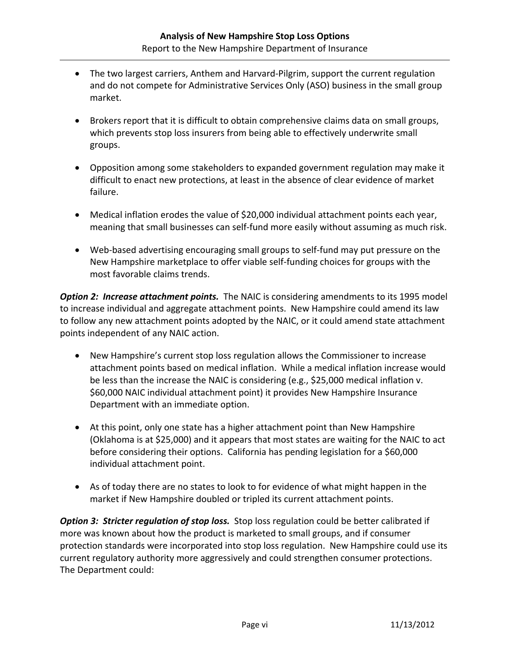- The two largest carriers, Anthem and Harvard-Pilgrim, support the current regulation and do not compete for Administrative Services Only (ASO) business in the small group market.
- Brokers report that it is difficult to obtain comprehensive claims data on small groups, which prevents stop loss insurers from being able to effectively underwrite small groups.
- Opposition among some stakeholders to expanded government regulation may make it difficult to enact new protections, at least in the absence of clear evidence of market failure.
- Medical inflation erodes the value of \$20,000 individual attachment points each year, meaning that small businesses can self‐fund more easily without assuming as much risk.
- Web-based advertising encouraging small groups to self-fund may put pressure on the New Hampshire marketplace to offer viable self‐funding choices for groups with the most favorable claims trends.

*Option 2: Increase attachment points.* The NAIC is considering amendments to its 1995 model to increase individual and aggregate attachment points. New Hampshire could amend its law to follow any new attachment points adopted by the NAIC, or it could amend state attachment points independent of any NAIC action.

- New Hampshire's current stop loss regulation allows the Commissioner to increase attachment points based on medical inflation. While a medical inflation increase would be less than the increase the NAIC is considering (e.g., \$25,000 medical inflation v. \$60,000 NAIC individual attachment point) it provides New Hampshire Insurance Department with an immediate option.
- At this point, only one state has a higher attachment point than New Hampshire (Oklahoma is at \$25,000) and it appears that most states are waiting for the NAIC to act before considering their options. California has pending legislation for a \$60,000 individual attachment point.
- As of today there are no states to look to for evidence of what might happen in the market if New Hampshire doubled or tripled its current attachment points.

*Option 3: Stricter regulation of stop loss.* Stop loss regulation could be better calibrated if more was known about how the product is marketed to small groups, and if consumer protection standards were incorporated into stop loss regulation. New Hampshire could use its current regulatory authority more aggressively and could strengthen consumer protections. The Department could: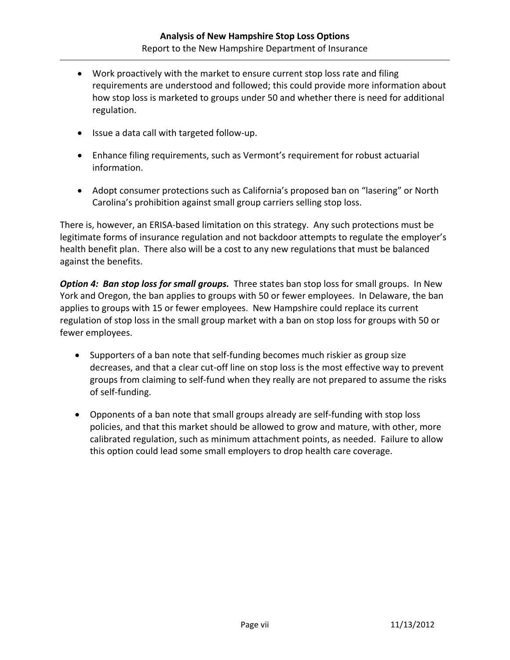- Work proactively with the market to ensure current stop loss rate and filing requirements are understood and followed; this could provide more information about how stop loss is marketed to groups under 50 and whether there is need for additional regulation.
- Issue a data call with targeted follow‐up.
- Enhance filing requirements, such as Vermont's requirement for robust actuarial information.
- Adopt consumer protections such as California's proposed ban on "lasering" or North Carolina's prohibition against small group carriers selling stop loss.

There is, however, an ERISA‐based limitation on this strategy. Any such protections must be legitimate forms of insurance regulation and not backdoor attempts to regulate the employer's health benefit plan. There also will be a cost to any new regulations that must be balanced against the benefits.

*Option 4: Ban stop loss for small groups.* Three states ban stop loss for small groups. In New York and Oregon, the ban applies to groups with 50 or fewer employees. In Delaware, the ban applies to groups with 15 or fewer employees. New Hampshire could replace its current regulation of stop loss in the small group market with a ban on stop loss for groups with 50 or fewer employees.

- Supporters of a ban note that self-funding becomes much riskier as group size decreases, and that a clear cut‐off line on stop loss is the most effective way to prevent groups from claiming to self‐fund when they really are not prepared to assume the risks of self‐funding.
- Opponents of a ban note that small groups already are self-funding with stop loss policies, and that this market should be allowed to grow and mature, with other, more calibrated regulation, such as minimum attachment points, as needed. Failure to allow this option could lead some small employers to drop health care coverage.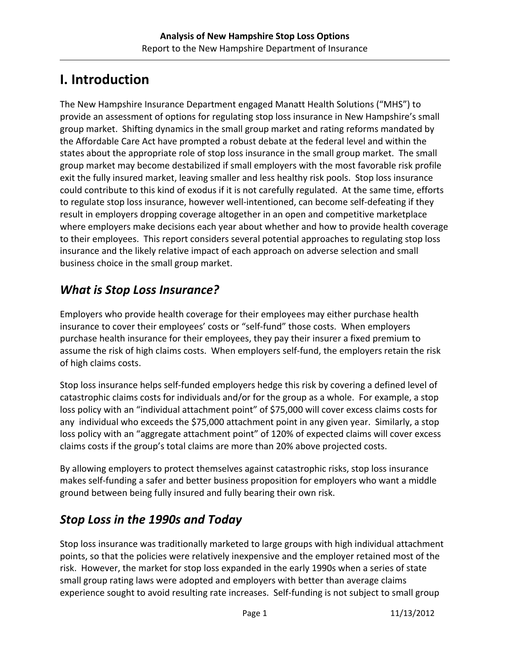# **I. Introduction**

The New Hampshire Insurance Department engaged Manatt Health Solutions ("MHS") to provide an assessment of options for regulating stop loss insurance in New Hampshire's small group market. Shifting dynamics in the small group market and rating reforms mandated by the Affordable Care Act have prompted a robust debate at the federal level and within the states about the appropriate role of stop loss insurance in the small group market. The small group market may become destabilized if small employers with the most favorable risk profile exit the fully insured market, leaving smaller and less healthy risk pools. Stop loss insurance could contribute to this kind of exodus if it is not carefully regulated. At the same time, efforts to regulate stop loss insurance, however well‐intentioned, can become self‐defeating if they result in employers dropping coverage altogether in an open and competitive marketplace where employers make decisions each year about whether and how to provide health coverage to their employees. This report considers several potential approaches to regulating stop loss insurance and the likely relative impact of each approach on adverse selection and small business choice in the small group market.

## *What is Stop Loss Insurance?*

Employers who provide health coverage for their employees may either purchase health insurance to cover their employees' costs or "self‐fund" those costs. When employers purchase health insurance for their employees, they pay their insurer a fixed premium to assume the risk of high claims costs. When employers self-fund, the employers retain the risk of high claims costs.

Stop loss insurance helps self‐funded employers hedge this risk by covering a defined level of catastrophic claims costs for individuals and/or for the group as a whole. For example, a stop loss policy with an "individual attachment point" of \$75,000 will cover excess claims costs for any individual who exceeds the \$75,000 attachment point in any given year. Similarly, a stop loss policy with an "aggregate attachment point" of 120% of expected claims will cover excess claims costs if the group's total claims are more than 20% above projected costs.

By allowing employers to protect themselves against catastrophic risks, stop loss insurance makes self-funding a safer and better business proposition for employers who want a middle ground between being fully insured and fully bearing their own risk.

# *Stop Loss in the 1990s and Today*

Stop loss insurance was traditionally marketed to large groups with high individual attachment points, so that the policies were relatively inexpensive and the employer retained most of the risk. However, the market for stop loss expanded in the early 1990s when a series of state small group rating laws were adopted and employers with better than average claims experience sought to avoid resulting rate increases. Self-funding is not subject to small group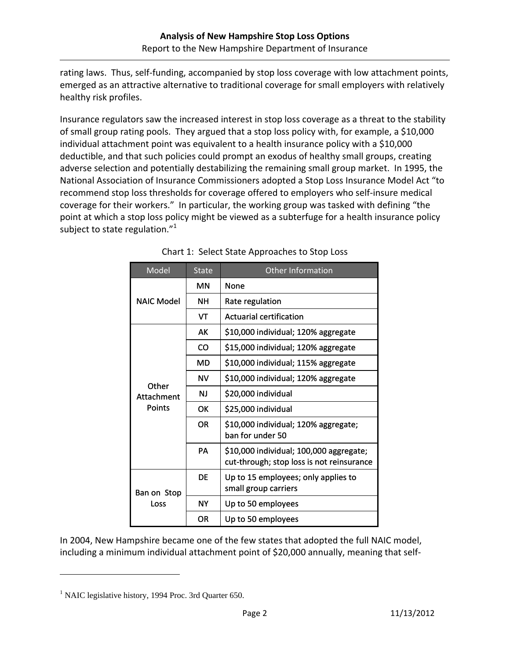rating laws. Thus, self-funding, accompanied by stop loss coverage with low attachment points, emerged as an attractive alternative to traditional coverage for small employers with relatively healthy risk profiles.

Insurance regulators saw the increased interest in stop loss coverage as a threat to the stability of small group rating pools. They argued that a stop loss policy with, for example, a \$10,000 individual attachment point was equivalent to a health insurance policy with a \$10,000 deductible, and that such policies could prompt an exodus of healthy small groups, creating adverse selection and potentially destabilizing the remaining small group market. In 1995, the National Association of Insurance Commissioners adopted a Stop Loss Insurance Model Act "to recommend stop loss thresholds for coverage offered to employers who self‐insure medical coverage for their workers." In particular, the working group was tasked with defining "the point at which a stop loss policy might be viewed as a subterfuge for a health insurance policy subject to state regulation." $^1$ 

| Model                                | <b>State</b> | <b>Other Information</b>                                                             |  |  |
|--------------------------------------|--------------|--------------------------------------------------------------------------------------|--|--|
| <b>NAIC Model</b>                    | ΜN           | None                                                                                 |  |  |
|                                      | NΗ           | Rate regulation                                                                      |  |  |
|                                      | VT           | <b>Actuarial certification</b>                                                       |  |  |
| Other<br>Attachment<br><b>Points</b> | AK           | \$10,000 individual; 120% aggregate                                                  |  |  |
|                                      | CO           | \$15,000 individual; 120% aggregate                                                  |  |  |
|                                      | MD           | \$10,000 individual; 115% aggregate                                                  |  |  |
|                                      | <b>NV</b>    | \$10,000 individual; 120% aggregate                                                  |  |  |
|                                      | ΝJ           | \$20,000 individual                                                                  |  |  |
|                                      | OK           | \$25,000 individual                                                                  |  |  |
|                                      | <b>OR</b>    | \$10,000 individual; 120% aggregate;<br>ban for under 50                             |  |  |
|                                      | PA           | \$10,000 individual; 100,000 aggregate;<br>cut-through; stop loss is not reinsurance |  |  |
| Ban on Stop<br>Loss                  | DF           | Up to 15 employees; only applies to<br>small group carriers                          |  |  |
|                                      | <b>NY</b>    | Up to 50 employees                                                                   |  |  |
|                                      | OR           | Up to 50 employees                                                                   |  |  |

In 2004, New Hampshire became one of the few states that adopted the full NAIC model, including a minimum individual attachment point of \$20,000 annually, meaning that self‐

<sup>&</sup>lt;sup>1</sup> NAIC legislative history, 1994 Proc. 3rd Quarter 650.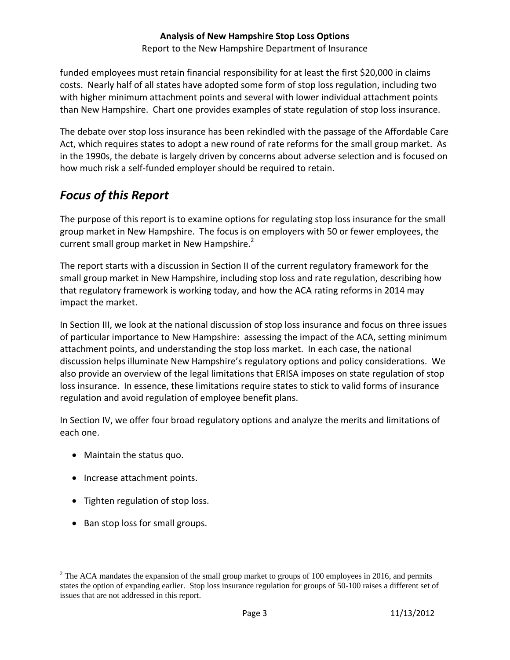funded employees must retain financial responsibility for at least the first \$20,000 in claims costs. Nearly half of all states have adopted some form of stop loss regulation, including two with higher minimum attachment points and several with lower individual attachment points than New Hampshire. Chart one provides examples of state regulation of stop loss insurance.

The debate over stop loss insurance has been rekindled with the passage of the Affordable Care Act, which requires states to adopt a new round of rate reforms for the small group market. As in the 1990s, the debate is largely driven by concerns about adverse selection and is focused on how much risk a self‐funded employer should be required to retain.

## *Focus of this Report*

The purpose of this report is to examine options for regulating stop loss insurance for the small group market in New Hampshire. The focus is on employers with 50 or fewer employees, the current small group market in New Hampshire.<sup>2</sup>

The report starts with a discussion in Section II of the current regulatory framework for the small group market in New Hampshire, including stop loss and rate regulation, describing how that regulatory framework is working today, and how the ACA rating reforms in 2014 may impact the market.

In Section III, we look at the national discussion of stop loss insurance and focus on three issues of particular importance to New Hampshire: assessing the impact of the ACA, setting minimum attachment points, and understanding the stop loss market. In each case, the national discussion helps illuminate New Hampshire's regulatory options and policy considerations. We also provide an overview of the legal limitations that ERISA imposes on state regulation of stop loss insurance. In essence, these limitations require states to stick to valid forms of insurance regulation and avoid regulation of employee benefit plans.

In Section IV, we offer four broad regulatory options and analyze the merits and limitations of each one.

- Maintain the status quo.
- Increase attachment points.
- Tighten regulation of stop loss.
- Ban stop loss for small groups.

 $2^2$  The ACA mandates the expansion of the small group market to groups of 100 employees in 2016, and permits states the option of expanding earlier. Stop loss insurance regulation for groups of 50-100 raises a different set of issues that are not addressed in this report.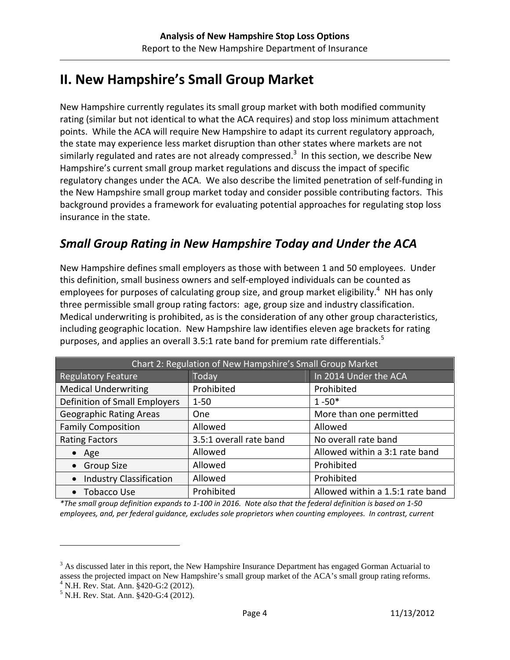# **II. New Hampshire's Small Group Market**

New Hampshire currently regulates its small group market with both modified community rating (similar but not identical to what the ACA requires) and stop loss minimum attachment points. While the ACA will require New Hampshire to adapt its current regulatory approach, the state may experience less market disruption than other states where markets are not similarly regulated and rates are not already compressed.<sup>3</sup> In this section, we describe New Hampshire's current small group market regulations and discuss the impact of specific regulatory changes under the ACA. We also describe the limited penetration of self-funding in the New Hampshire small group market today and consider possible contributing factors. This background provides a framework for evaluating potential approaches for regulating stop loss insurance in the state.

## *Small Group Rating in New Hampshire Today and Under the ACA*

New Hampshire defines small employers as those with between 1 and 50 employees. Under this definition, small business owners and self‐employed individuals can be counted as employees for purposes of calculating group size, and group market eligibility.<sup>4</sup> NH has only three permissible small group rating factors: age, group size and industry classification. Medical underwriting is prohibited, as is the consideration of any other group characteristics, including geographic location. New Hampshire law identifies eleven age brackets for rating purposes, and applies an overall 3.5:1 rate band for premium rate differentials.<sup>5</sup>

| Chart 2: Regulation of New Hampshire's Small Group Market |                         |                                  |  |  |
|-----------------------------------------------------------|-------------------------|----------------------------------|--|--|
| <b>Regulatory Feature</b>                                 | Today                   | In 2014 Under the ACA            |  |  |
| <b>Medical Underwriting</b>                               | Prohibited              | Prohibited                       |  |  |
| Definition of Small Employers                             | $1 - 50$                | $1 - 50*$                        |  |  |
| <b>Geographic Rating Areas</b>                            | One                     | More than one permitted          |  |  |
| <b>Family Composition</b>                                 | Allowed                 | Allowed                          |  |  |
| <b>Rating Factors</b>                                     | 3.5:1 overall rate band | No overall rate band             |  |  |
| $\bullet$ Age                                             | Allowed                 | Allowed within a 3:1 rate band   |  |  |
| • Group Size                                              | Allowed                 | Prohibited                       |  |  |
| <b>Industry Classification</b><br>$\bullet$               | Allowed                 | Prohibited                       |  |  |
| • Tobacco Use                                             | Prohibited              | Allowed within a 1.5:1 rate band |  |  |

\*The small group definition expands to 1-100 in 2016. Note also that the federal definition is based on 1-50 *employees, and, per federal guidance, excludes sole proprietors when counting employees. In contrast, current* 

 $3$  As discussed later in this report, the New Hampshire Insurance Department has engaged Gorman Actuarial to assess the projected impact on New Hampshire's small group market of the ACA's small group rating reforms. 4 N.H. Rev. Stat. Ann. §420-G:2 (2012).

<sup>5</sup> N.H. Rev. Stat. Ann. §420-G:4 (2012).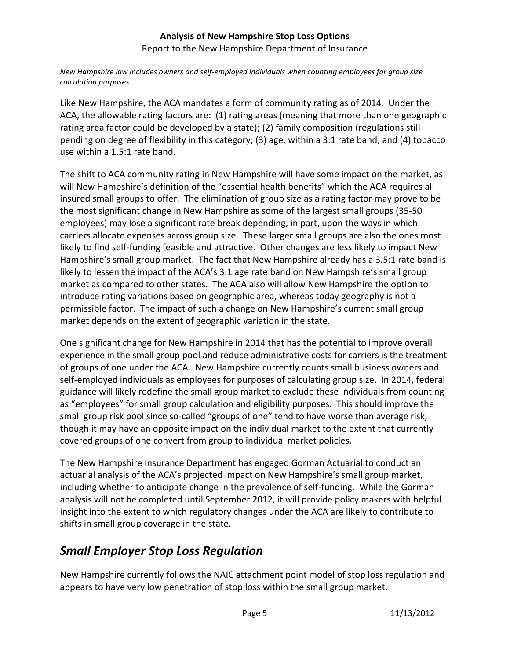*New Hampshire law includes owners and self‐employed individuals when counting employees for group size calculation purposes.*

Like New Hampshire, the ACA mandates a form of community rating as of 2014. Under the ACA, the allowable rating factors are: (1) rating areas (meaning that more than one geographic rating area factor could be developed by a state); (2) family composition (regulations still pending on degree of flexibility in this category; (3) age, within a 3:1 rate band; and (4) tobacco use within a 1.5:1 rate band.

The shift to ACA community rating in New Hampshire will have some impact on the market, as will New Hampshire's definition of the "essential health benefits" which the ACA requires all insured small groups to offer. The elimination of group size as a rating factor may prove to be the most significant change in New Hampshire as some of the largest small groups (35‐50 employees) may lose a significant rate break depending, in part, upon the ways in which carriers allocate expenses across group size. These larger small groups are also the ones most likely to find self-funding feasible and attractive. Other changes are less likely to impact New Hampshire's small group market. The fact that New Hampshire already has a 3.5:1 rate band is likely to lessen the impact of the ACA's 3:1 age rate band on New Hampshire's small group market as compared to other states. The ACA also will allow New Hampshire the option to introduce rating variations based on geographic area, whereas today geography is not a permissible factor. The impact of such a change on New Hampshire's current small group market depends on the extent of geographic variation in the state.

One significant change for New Hampshire in 2014 that has the potential to improve overall experience in the small group pool and reduce administrative costs for carriers is the treatment of groups of one under the ACA. New Hampshire currently counts small business owners and self-employed individuals as employees for purposes of calculating group size. In 2014, federal guidance will likely redefine the small group market to exclude these individuals from counting as "employees" for small group calculation and eligibility purposes. This should improve the small group risk pool since so-called "groups of one" tend to have worse than average risk, though it may have an opposite impact on the individual market to the extent that currently covered groups of one convert from group to individual market policies.

The New Hampshire Insurance Department has engaged Gorman Actuarial to conduct an actuarial analysis of the ACA's projected impact on New Hampshire's small group market, including whether to anticipate change in the prevalence of self-funding. While the Gorman analysis will not be completed until September 2012, it will provide policy makers with helpful insight into the extent to which regulatory changes under the ACA are likely to contribute to shifts in small group coverage in the state.

## *Small Employer Stop Loss Regulation*

New Hampshire currently follows the NAIC attachment point model of stop loss regulation and appears to have very low penetration of stop loss within the small group market.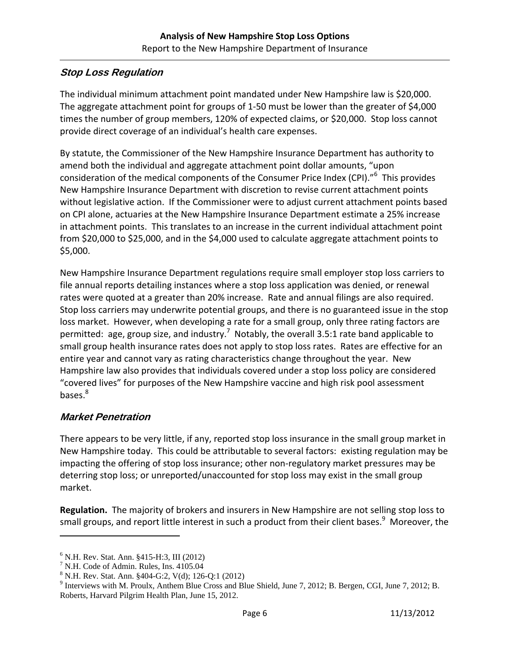#### **Stop Loss Regulation**

The individual minimum attachment point mandated under New Hampshire law is \$20,000. The aggregate attachment point for groups of 1‐50 must be lower than the greater of \$4,000 times the number of group members, 120% of expected claims, or \$20,000. Stop loss cannot provide direct coverage of an individual's health care expenses.

By statute, the Commissioner of the New Hampshire Insurance Department has authority to amend both the individual and aggregate attachment point dollar amounts, "upon consideration of the medical components of the Consumer Price Index (CPI)."<sup>6</sup> This provides New Hampshire Insurance Department with discretion to revise current attachment points without legislative action. If the Commissioner were to adjust current attachment points based on CPI alone, actuaries at the New Hampshire Insurance Department estimate a 25% increase in attachment points. This translates to an increase in the current individual attachment point from \$20,000 to \$25,000, and in the \$4,000 used to calculate aggregate attachment points to \$5,000.

New Hampshire Insurance Department regulations require small employer stop loss carriers to file annual reports detailing instances where a stop loss application was denied, or renewal rates were quoted at a greater than 20% increase. Rate and annual filings are also required. Stop loss carriers may underwrite potential groups, and there is no guaranteed issue in the stop loss market. However, when developing a rate for a small group, only three rating factors are permitted: age, group size, and industry.<sup>7</sup> Notably, the overall 3.5:1 rate band applicable to small group health insurance rates does not apply to stop loss rates. Rates are effective for an entire year and cannot vary as rating characteristics change throughout the year. New Hampshire law also provides that individuals covered under a stop loss policy are considered "covered lives" for purposes of the New Hampshire vaccine and high risk pool assessment bases.<sup>8</sup>

#### **Market Penetration**

1

There appears to be very little, if any, reported stop loss insurance in the small group market in New Hampshire today. This could be attributable to several factors: existing regulation may be impacting the offering of stop loss insurance; other non-regulatory market pressures may be deterring stop loss; or unreported/unaccounted for stop loss may exist in the small group market.

**Regulation.** The majority of brokers and insurers in New Hampshire are not selling stop loss to small groups, and report little interest in such a product from their client bases.<sup>9</sup> Moreover, the

<sup>6</sup> N.H. Rev. Stat. Ann. §415-H:3, III (2012)

<sup>7</sup> N.H. Code of Admin. Rules, Ins. 4105.04

<sup>8</sup> N.H. Rev. Stat. Ann. §404-G:2, V(d); 126-Q:1 (2012)

 $9$  Interviews with M. Proulx, Anthem Blue Cross and Blue Shield, June 7, 2012; B. Bergen, CGI, June 7, 2012; B. Roberts, Harvard Pilgrim Health Plan, June 15, 2012.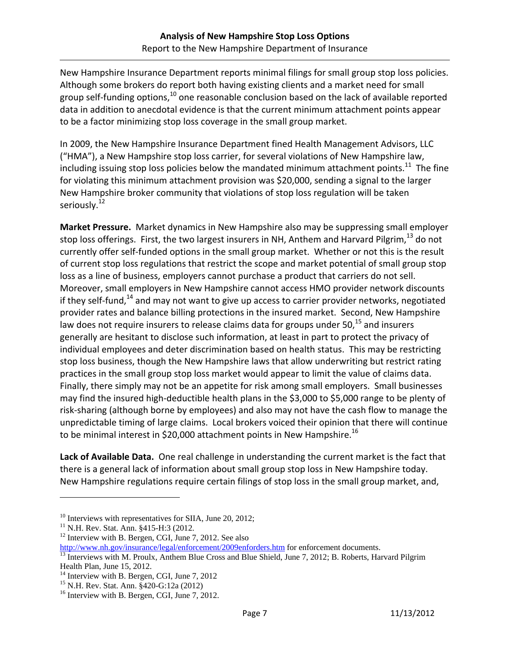New Hampshire Insurance Department reports minimal filings for small group stop loss policies. Although some brokers do report both having existing clients and a market need for small group self-funding options, $^{10}$  one reasonable conclusion based on the lack of available reported data in addition to anecdotal evidence is that the current minimum attachment points appear to be a factor minimizing stop loss coverage in the small group market.

In 2009, the New Hampshire Insurance Department fined Health Management Advisors, LLC ("HMA"), a New Hampshire stop loss carrier, for several violations of New Hampshire law, including issuing stop loss policies below the mandated minimum attachment points.<sup>11</sup> The fine for violating this minimum attachment provision was \$20,000, sending a signal to the larger New Hampshire broker community that violations of stop loss regulation will be taken seriously.<sup>12</sup>

**Market Pressure.** Market dynamics in New Hampshire also may be suppressing small employer stop loss offerings. First, the two largest insurers in NH, Anthem and Harvard Pilgrim,  $^{13}$  do not currently offer self‐funded options in the small group market. Whether or not this is the result of current stop loss regulations that restrict the scope and market potential of small group stop loss as a line of business, employers cannot purchase a product that carriers do not sell. Moreover, small employers in New Hampshire cannot access HMO provider network discounts if they self-fund, $14$  and may not want to give up access to carrier provider networks, negotiated provider rates and balance billing protections in the insured market. Second, New Hampshire law does not require insurers to release claims data for groups under 50, $^{15}$  and insurers generally are hesitant to disclose such information, at least in part to protect the privacy of individual employees and deter discrimination based on health status. This may be restricting stop loss business, though the New Hampshire laws that allow underwriting but restrict rating practices in the small group stop loss market would appear to limit the value of claims data. Finally, there simply may not be an appetite for risk among small employers. Small businesses may find the insured high-deductible health plans in the \$3,000 to \$5,000 range to be plenty of risk‐sharing (although borne by employees) and also may not have the cash flow to manage the unpredictable timing of large claims. Local brokers voiced their opinion that there will continue to be minimal interest in \$20,000 attachment points in New Hampshire.<sup>16</sup>

**Lack of Available Data.** One real challenge in understanding the current market is the fact that there is a general lack of information about small group stop loss in New Hampshire today. New Hampshire regulations require certain filings of stop loss in the small group market, and,

 $10$  Interviews with representatives for SIIA, June 20, 2012;

<sup>&</sup>lt;sup>11</sup> N.H. Rev. Stat. Ann. §415-H:3 (2012.

<sup>&</sup>lt;sup>12</sup> Interview with B. Bergen, CGI, June 7, 2012. See also<br>http://www.nh.gov/insurance/legal/enforcement/2009enforders.htm for enforcement documents.

<sup>&</sup>lt;sup>13</sup> Interviews with M. Proulx, Anthem Blue Cross and Blue Shield, June 7, 2012; B. Roberts, Harvard Pilgrim Health Plan, June 15, 2012.

<sup>&</sup>lt;sup>14</sup> Interview with B. Bergen, CGI, June 7, 2012

<sup>15</sup> N.H. Rev. Stat. Ann. §420-G:12a (2012)

<sup>&</sup>lt;sup>16</sup> Interview with B. Bergen, CGI, June 7, 2012.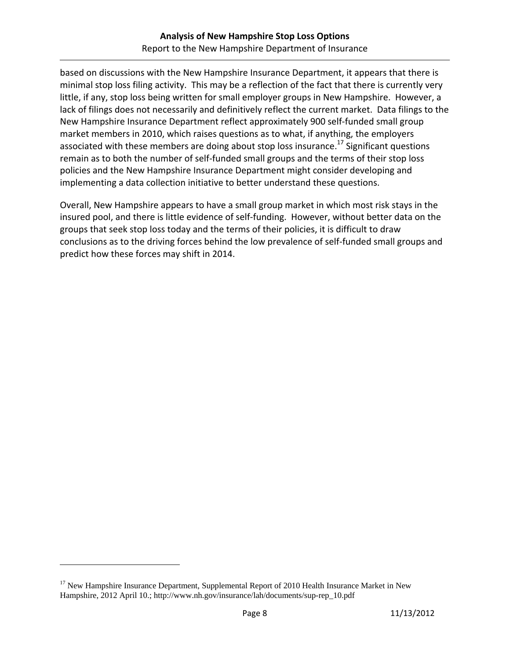based on discussions with the New Hampshire Insurance Department, it appears that there is minimal stop loss filing activity. This may be a reflection of the fact that there is currently very little, if any, stop loss being written for small employer groups in New Hampshire. However, a lack of filings does not necessarily and definitively reflect the current market. Data filings to the New Hampshire Insurance Department reflect approximately 900 self‐funded small group market members in 2010, which raises questions as to what, if anything, the employers associated with these members are doing about stop loss insurance.<sup>17</sup> Significant questions remain as to both the number of self‐funded small groups and the terms of their stop loss policies and the New Hampshire Insurance Department might consider developing and implementing a data collection initiative to better understand these questions.

Overall, New Hampshire appears to have a small group market in which most risk stays in the insured pool, and there is little evidence of self‐funding. However, without better data on the groups that seek stop loss today and the terms of their policies, it is difficult to draw conclusions as to the driving forces behind the low prevalence of self-funded small groups and predict how these forces may shift in 2014.

<sup>&</sup>lt;sup>17</sup> New Hampshire Insurance Department, Supplemental Report of 2010 Health Insurance Market in New Hampshire, 2012 April 10.; http://www.nh.gov/insurance/lah/documents/sup-rep\_10.pdf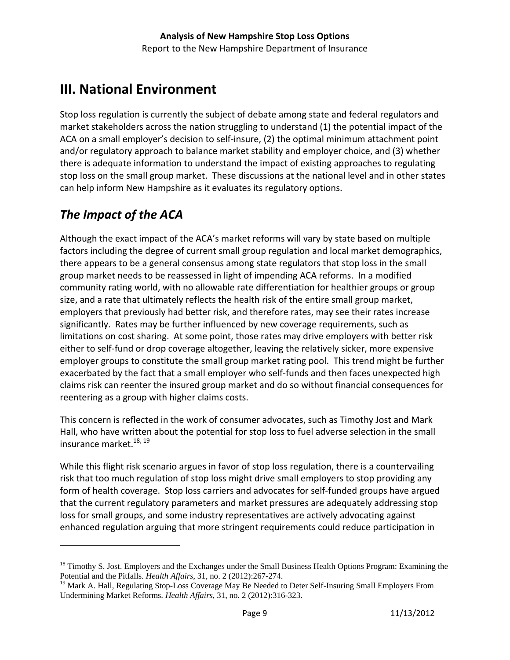# **III. National Environment**

Stop loss regulation is currently the subject of debate among state and federal regulators and market stakeholders across the nation struggling to understand (1) the potential impact of the ACA on a small employer's decision to self‐insure, (2) the optimal minimum attachment point and/or regulatory approach to balance market stability and employer choice, and (3) whether there is adequate information to understand the impact of existing approaches to regulating stop loss on the small group market. These discussions at the national level and in other states can help inform New Hampshire as it evaluates its regulatory options.

# *The Impact of the ACA*

 $\overline{a}$ 

Although the exact impact of the ACA's market reforms will vary by state based on multiple factors including the degree of current small group regulation and local market demographics, there appears to be a general consensus among state regulators that stop loss in the small group market needs to be reassessed in light of impending ACA reforms. In a modified community rating world, with no allowable rate differentiation for healthier groups or group size, and a rate that ultimately reflects the health risk of the entire small group market, employers that previously had better risk, and therefore rates, may see their rates increase significantly. Rates may be further influenced by new coverage requirements, such as limitations on cost sharing. At some point, those rates may drive employers with better risk either to self-fund or drop coverage altogether, leaving the relatively sicker, more expensive employer groups to constitute the small group market rating pool. This trend might be further exacerbated by the fact that a small employer who self-funds and then faces unexpected high claims risk can reenter the insured group market and do so without financial consequences for reentering as a group with higher claims costs.

This concern is reflected in the work of consumer advocates, such as Timothy Jost and Mark Hall, who have written about the potential for stop loss to fuel adverse selection in the small insurance market.<sup>18, 19</sup>

While this flight risk scenario argues in favor of stop loss regulation, there is a countervailing risk that too much regulation of stop loss might drive small employers to stop providing any form of health coverage. Stop loss carriers and advocates for self-funded groups have argued that the current regulatory parameters and market pressures are adequately addressing stop loss for small groups, and some industry representatives are actively advocating against enhanced regulation arguing that more stringent requirements could reduce participation in

<sup>&</sup>lt;sup>18</sup> Timothy S. Jost. Employers and the Exchanges under the Small Business Health Options Program: Examining the Potential and the Pitfalls. *Health Affairs*, 31, no. 2 (2012):267-274.

<sup>&</sup>lt;sup>19</sup> Mark A. Hall, Regulating Stop-Loss Coverage May Be Needed to Deter Self-Insuring Small Employers From Undermining Market Reforms. *Health Affairs*, 31, no. 2 (2012):316-323.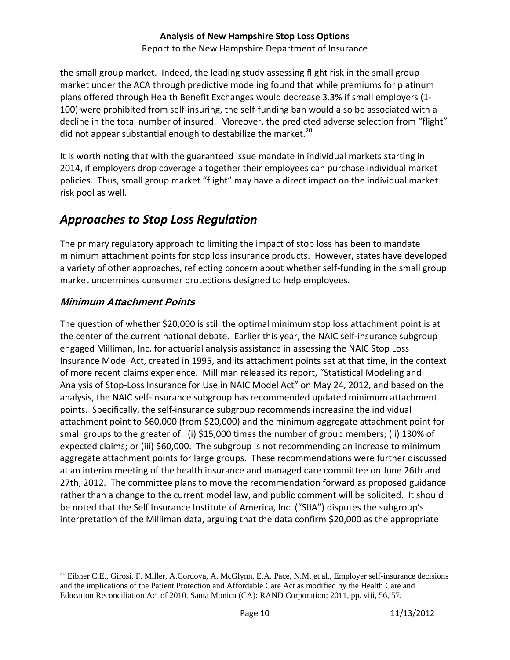the small group market. Indeed, the leading study assessing flight risk in the small group market under the ACA through predictive modeling found that while premiums for platinum plans offered through Health Benefit Exchanges would decrease 3.3% if small employers (1‐ 100) were prohibited from self-insuring, the self-funding ban would also be associated with a decline in the total number of insured. Moreover, the predicted adverse selection from "flight" did not appear substantial enough to destabilize the market.<sup>20</sup>

It is worth noting that with the guaranteed issue mandate in individual markets starting in 2014, if employers drop coverage altogether their employees can purchase individual market policies. Thus, small group market "flight" may have a direct impact on the individual market risk pool as well.

## *Approaches to Stop Loss Regulation*

The primary regulatory approach to limiting the impact of stop loss has been to mandate minimum attachment points for stop loss insurance products. However, states have developed a variety of other approaches, reflecting concern about whether self-funding in the small group market undermines consumer protections designed to help employees.

#### **Minimum Attachment Points**

 $\overline{a}$ 

The question of whether \$20,000 is still the optimal minimum stop loss attachment point is at the center of the current national debate. Earlier this year, the NAIC self-insurance subgroup engaged Milliman, Inc. for actuarial analysis assistance in assessing the NAIC Stop Loss Insurance Model Act, created in 1995, and its attachment points set at that time, in the context of more recent claims experience. Milliman released its report, "Statistical Modeling and Analysis of Stop‐Loss Insurance for Use in NAIC Model Act" on May 24, 2012, and based on the analysis, the NAIC self‐insurance subgroup has recommended updated minimum attachment points. Specifically, the self‐insurance subgroup recommends increasing the individual attachment point to \$60,000 (from \$20,000) and the minimum aggregate attachment point for small groups to the greater of: (i) \$15,000 times the number of group members; (ii) 130% of expected claims; or (iii) \$60,000. The subgroup is not recommending an increase to minimum aggregate attachment points for large groups. These recommendations were further discussed at an interim meeting of the health insurance and managed care committee on June 26th and 27th, 2012. The committee plans to move the recommendation forward as proposed guidance rather than a change to the current model law, and public comment will be solicited. It should be noted that the Self Insurance Institute of America, Inc. ("SIIA") disputes the subgroup's interpretation of the Milliman data, arguing that the data confirm \$20,000 as the appropriate

 $^{20}$  Eibner C.E., Girosi, F. Miller, A.Cordova, A. McGlynn, E.A. Pace, N.M. et al., Employer self-insurance decisions and the implications of the Patient Protection and Affordable Care Act as modified by the Health Care and Education Reconciliation Act of 2010. Santa Monica (CA): RAND Corporation; 2011, pp. viii, 56, 57.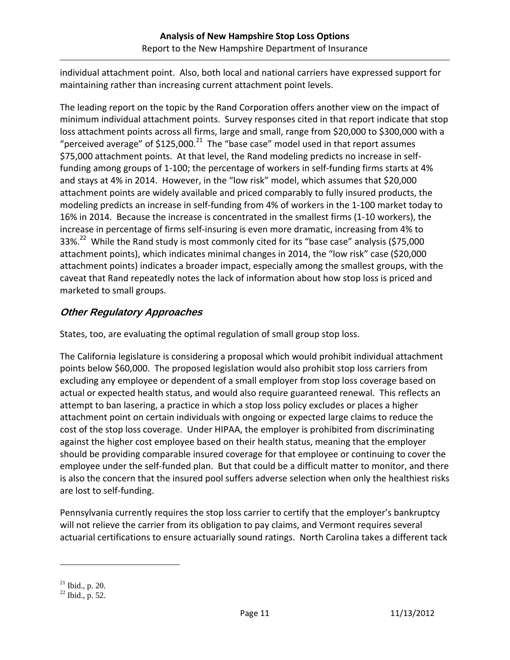individual attachment point. Also, both local and national carriers have expressed support for maintaining rather than increasing current attachment point levels.

The leading report on the topic by the Rand Corporation offers another view on the impact of minimum individual attachment points. Survey responses cited in that report indicate that stop loss attachment points across all firms, large and small, range from \$20,000 to \$300,000 with a "perceived average" of \$125,000.<sup>21</sup> The "base case" model used in that report assumes \$75,000 attachment points. At that level, the Rand modeling predicts no increase in selffunding among groups of 1-100; the percentage of workers in self-funding firms starts at 4% and stays at 4% in 2014. However, in the "low risk" model, which assumes that \$20,000 attachment points are widely available and priced comparably to fully insured products, the modeling predicts an increase in self-funding from 4% of workers in the 1-100 market today to 16% in 2014. Because the increase is concentrated in the smallest firms (1‐10 workers), the increase in percentage of firms self-insuring is even more dramatic, increasing from 4% to 33%.<sup>22</sup> While the Rand study is most commonly cited for its "base case" analysis (\$75,000 attachment points), which indicates minimal changes in 2014, the "low risk" case (\$20,000 attachment points) indicates a broader impact, especially among the smallest groups, with the caveat that Rand repeatedly notes the lack of information about how stop loss is priced and marketed to small groups.

#### **Other Regulatory Approaches**

States, too, are evaluating the optimal regulation of small group stop loss.

The California legislature is considering a proposal which would prohibit individual attachment points below \$60,000. The proposed legislation would also prohibit stop loss carriers from excluding any employee or dependent of a small employer from stop loss coverage based on actual or expected health status, and would also require guaranteed renewal. This reflects an attempt to ban lasering, a practice in which a stop loss policy excludes or places a higher attachment point on certain individuals with ongoing or expected large claims to reduce the cost of the stop loss coverage. Under HIPAA, the employer is prohibited from discriminating against the higher cost employee based on their health status, meaning that the employer should be providing comparable insured coverage for that employee or continuing to cover the employee under the self‐funded plan. But that could be a difficult matter to monitor, and there is also the concern that the insured pool suffers adverse selection when only the healthiest risks are lost to self‐funding.

Pennsylvania currently requires the stop loss carrier to certify that the employer's bankruptcy will not relieve the carrier from its obligation to pay claims, and Vermont requires several actuarial certifications to ensure actuarially sound ratings. North Carolina takes a different tack

1

<sup>21</sup> Ibid., p. 20.

 $^{22}$  Ibid., p. 52.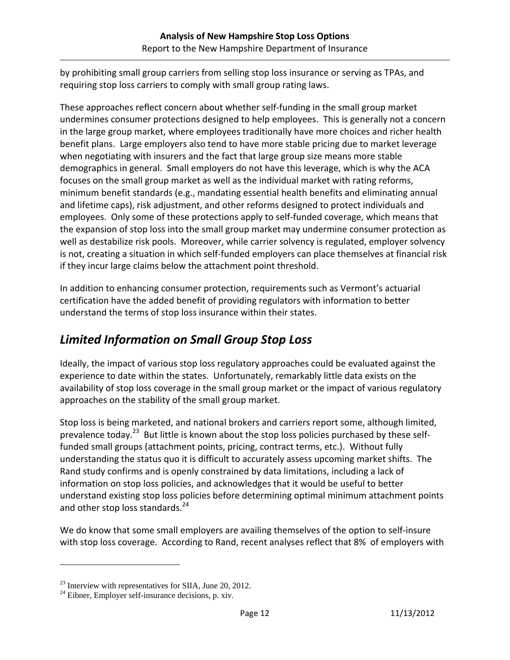by prohibiting small group carriers from selling stop loss insurance or serving as TPAs, and requiring stop loss carriers to comply with small group rating laws.

These approaches reflect concern about whether self‐funding in the small group market undermines consumer protections designed to help employees. This is generally not a concern in the large group market, where employees traditionally have more choices and richer health benefit plans. Large employers also tend to have more stable pricing due to market leverage when negotiating with insurers and the fact that large group size means more stable demographics in general. Small employers do not have this leverage, which is why the ACA focuses on the small group market as well as the individual market with rating reforms, minimum benefit standards (e.g., mandating essential health benefits and eliminating annual and lifetime caps), risk adjustment, and other reforms designed to protect individuals and employees. Only some of these protections apply to self-funded coverage, which means that the expansion of stop loss into the small group market may undermine consumer protection as well as destabilize risk pools. Moreover, while carrier solvency is regulated, employer solvency is not, creating a situation in which self-funded employers can place themselves at financial risk if they incur large claims below the attachment point threshold.

In addition to enhancing consumer protection, requirements such as Vermont's actuarial certification have the added benefit of providing regulators with information to better understand the terms of stop loss insurance within their states.

## *Limited Information on Small Group Stop Loss*

Ideally, the impact of various stop loss regulatory approaches could be evaluated against the experience to date within the states. Unfortunately, remarkably little data exists on the availability of stop loss coverage in the small group market or the impact of various regulatory approaches on the stability of the small group market.

Stop loss is being marketed, and national brokers and carriers report some, although limited, prevalence today.<sup>23</sup> But little is known about the stop loss policies purchased by these selffunded small groups (attachment points, pricing, contract terms, etc.). Without fully understanding the status quo it is difficult to accurately assess upcoming market shifts. The Rand study confirms and is openly constrained by data limitations, including a lack of information on stop loss policies, and acknowledges that it would be useful to better understand existing stop loss policies before determining optimal minimum attachment points and other stop loss standards.<sup>24</sup>

We do know that some small employers are availing themselves of the option to self-insure with stop loss coverage. According to Rand, recent analyses reflect that 8% of employers with

<sup>&</sup>lt;sup>23</sup> Interview with representatives for SIIA, June 20, 2012.

<sup>24</sup> Eibner, Employer self-insurance decisions, p. xiv.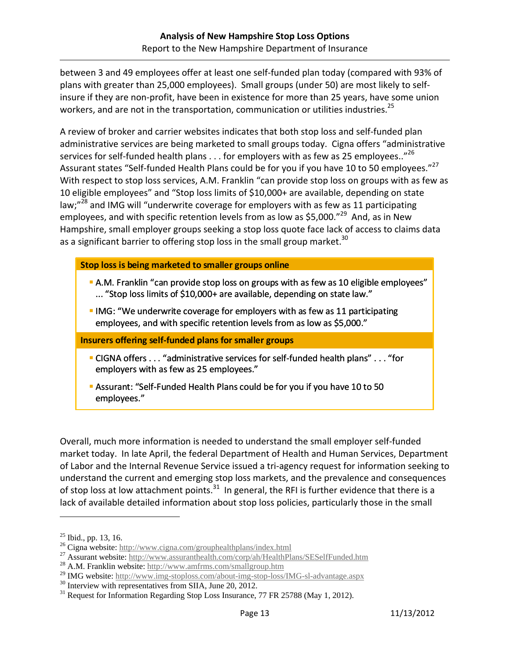between 3 and 49 employees offer at least one self‐funded plan today (compared with 93% of plans with greater than 25,000 employees). Small groups (under 50) are most likely to self‐ insure if they are non-profit, have been in existence for more than 25 years, have some union workers, and are not in the transportation, communication or utilities industries.<sup>25</sup>

A review of broker and carrier websites indicates that both stop loss and self‐funded plan administrative services are being marketed to small groups today. Cigna offers "administrative services for self-funded health plans  $\dots$  for employers with as few as 25 employees.."<sup>26</sup> Assurant states "Self-funded Health Plans could be for you if you have 10 to 50 employees."<sup>27</sup> With respect to stop loss services, A.M. Franklin "can provide stop loss on groups with as few as 10 eligible employees" and "Stop loss limits of \$10,000+ are available, depending on state law; $n^{28}$  and IMG will "underwrite coverage for employers with as few as 11 participating employees, and with specific retention levels from as low as \$5,000."<sup>29</sup> And, as in New Hampshire, small employer groups seeking a stop loss quote face lack of access to claims data as a significant barrier to offering stop loss in the small group market.<sup>30</sup>

#### **Stop loss is being marketed to smaller groups online**

- A.M. Franklin "can provide stop loss on groups with as few as 10 eligible employees" ... "Stop loss limits of \$10,000+ are available, depending on state law."
- **IMG:** "We underwrite coverage for employers with as few as 11 participating employees, and with specific retention levels from as low as \$5,000."

**Insurers offering self‐funded plans for smaller groups**

- CIGNA offers . . . "administrative services for self‐funded health plans" . . . "for employers with as few as 25 employees."
- Assurant: "Self-Funded Health Plans could be for you if you have 10 to 50 employees."

Overall, much more information is needed to understand the small employer self‐funded market today. In late April, the federal Department of Health and Human Services, Department of Labor and the Internal Revenue Service issued a tri-agency request for information seeking to understand the current and emerging stop loss markets, and the prevalence and consequences of stop loss at low attachment points. $31$  In general, the RFI is further evidence that there is a lack of available detailed information about stop loss policies, particularly those in the small

1

<sup>&</sup>lt;sup>25</sup> Ibid., pp. 13, 16.<br><sup>26</sup> Cigna website: http://www.cigna.com/grouphealthplans/index.html

<sup>&</sup>lt;sup>27</sup> Assurant website: http://www.assuranthealth.com/corp/ah/HealthPlans/SESelfFunded.htm<br>
<sup>28</sup> A.M. Franklin website: http://www.amfrms.com/smallgroup.htm <sup>29</sup> IMG website: http://www.img-stoploss.com/about-img-stop-loss

 $^{30}$  Interview with representatives from SIIA, June 20, 2012.<br><sup>31</sup> Request for Information Regarding Stop Loss Insurance, 77 FR 25788 (May 1, 2012).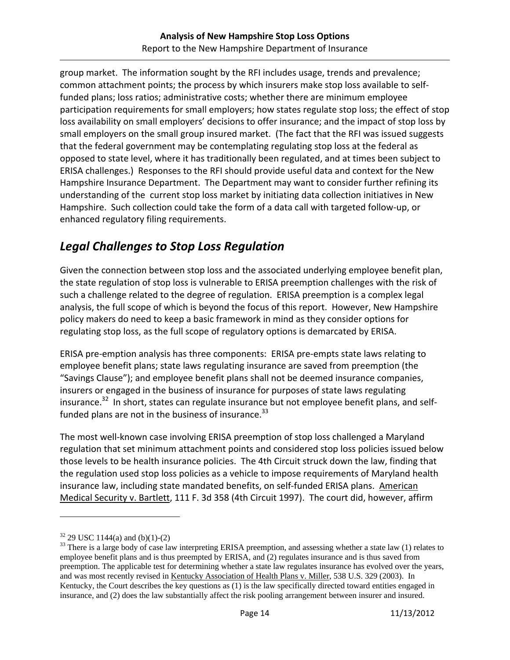group market. The information sought by the RFI includes usage, trends and prevalence; common attachment points; the process by which insurers make stop loss available to self‐ funded plans; loss ratios; administrative costs; whether there are minimum employee participation requirements for small employers; how states regulate stop loss; the effect of stop loss availability on small employers' decisions to offer insurance; and the impact of stop loss by small employers on the small group insured market. (The fact that the RFI was issued suggests that the federal government may be contemplating regulating stop loss at the federal as opposed to state level, where it has traditionally been regulated, and at times been subject to ERISA challenges.) Responses to the RFI should provide useful data and context for the New Hampshire Insurance Department. The Department may want to consider further refining its understanding of the current stop loss market by initiating data collection initiatives in New Hampshire. Such collection could take the form of a data call with targeted follow‐up, or enhanced regulatory filing requirements.

## *Legal Challenges to Stop Loss Regulation*

Given the connection between stop loss and the associated underlying employee benefit plan, the state regulation of stop loss is vulnerable to ERISA preemption challenges with the risk of such a challenge related to the degree of regulation. ERISA preemption is a complex legal analysis, the full scope of which is beyond the focus of this report. However, New Hampshire policy makers do need to keep a basic framework in mind as they consider options for regulating stop loss, as the full scope of regulatory options is demarcated by ERISA.

ERISA pre‐emption analysis has three components: ERISA pre‐empts state laws relating to employee benefit plans; state laws regulating insurance are saved from preemption (the "Savings Clause"); and employee benefit plans shall not be deemed insurance companies, insurers or engaged in the business of insurance for purposes of state laws regulating insurance.<sup>32</sup> In short, states can regulate insurance but not employee benefit plans, and selffunded plans are not in the business of insurance. $33$ 

The most well‐known case involving ERISA preemption of stop loss challenged a Maryland regulation that set minimum attachment points and considered stop loss policies issued below those levels to be health insurance policies. The 4th Circuit struck down the law, finding that the regulation used stop loss policies as a vehicle to impose requirements of Maryland health insurance law, including state mandated benefits, on self‐funded ERISA plans. American Medical Security v. Bartlett, 111 F. 3d 358 (4th Circuit 1997). The court did, however, affirm

 $32$  29 USC 1144(a) and (b)(1)-(2)

<sup>&</sup>lt;sup>33</sup> There is a large body of case law interpreting ERISA preemption, and assessing whether a state law (1) relates to employee benefit plans and is thus preempted by ERISA, and (2) regulates insurance and is thus saved from preemption. The applicable test for determining whether a state law regulates insurance has evolved over the years, and was most recently revised in Kentucky Association of Health Plans v. Miller, 538 U.S. 329 (2003). In Kentucky, the Court describes the key questions as (1) is the law specifically directed toward entities engaged in insurance, and (2) does the law substantially affect the risk pooling arrangement between insurer and insured.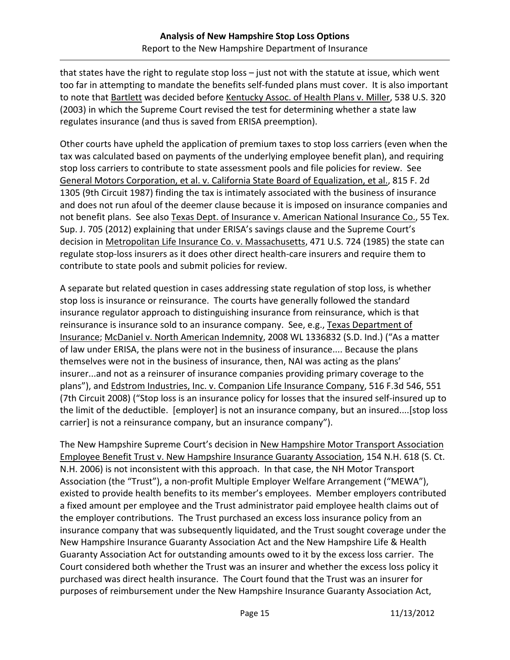that states have the right to regulate stop loss – just not with the statute at issue, which went too far in attempting to mandate the benefits self‐funded plans must cover. It is also important to note that Bartlett was decided before Kentucky Assoc. of Health Plans v. Miller, 538 U.S. 320 (2003) in which the Supreme Court revised the test for determining whether a state law regulates insurance (and thus is saved from ERISA preemption).

Other courts have upheld the application of premium taxes to stop loss carriers (even when the tax was calculated based on payments of the underlying employee benefit plan), and requiring stop loss carriers to contribute to state assessment pools and file policies for review. See General Motors Corporation, et al. v. California State Board of Equalization, et al., 815 F. 2d 1305 (9th Circuit 1987) finding the tax is intimately associated with the business of insurance and does not run afoul of the deemer clause because it is imposed on insurance companies and not benefit plans. See also Texas Dept. of Insurance v. American National Insurance Co., 55 Tex. Sup. J. 705 (2012) explaining that under ERISA's savings clause and the Supreme Court's decision in Metropolitan Life Insurance Co. v. Massachusetts, 471 U.S. 724 (1985) the state can regulate stop‐loss insurers as it does other direct health‐care insurers and require them to contribute to state pools and submit policies for review.

A separate but related question in cases addressing state regulation of stop loss, is whether stop loss is insurance or reinsurance. The courts have generally followed the standard insurance regulator approach to distinguishing insurance from reinsurance, which is that reinsurance is insurance sold to an insurance company. See, e.g., Texas Department of Insurance; McDaniel v. North American Indemnity, 2008 WL 1336832 (S.D. Ind.) ("As a matter of law under ERISA, the plans were not in the business of insurance.... Because the plans themselves were not in the business of insurance, then, NAI was acting as the plans' insurer...and not as a reinsurer of insurance companies providing primary coverage to the plans"), and Edstrom Industries, Inc. v. Companion Life Insurance Company, 516 F.3d 546, 551 (7th Circuit 2008) ("Stop loss is an insurance policy for losses that the insured self‐insured up to the limit of the deductible. [employer] is not an insurance company, but an insured....[stop loss carrier] is not a reinsurance company, but an insurance company").

The New Hampshire Supreme Court's decision in New Hampshire Motor Transport Association Employee Benefit Trust v. New Hampshire Insurance Guaranty Association, 154 N.H. 618 (S. Ct. N.H. 2006) is not inconsistent with this approach. In that case, the NH Motor Transport Association (the "Trust"), a non‐profit Multiple Employer Welfare Arrangement ("MEWA"), existed to provide health benefits to its member's employees. Member employers contributed a fixed amount per employee and the Trust administrator paid employee health claims out of the employer contributions. The Trust purchased an excess loss insurance policy from an insurance company that was subsequently liquidated, and the Trust sought coverage under the New Hampshire Insurance Guaranty Association Act and the New Hampshire Life & Health Guaranty Association Act for outstanding amounts owed to it by the excess loss carrier. The Court considered both whether the Trust was an insurer and whether the excess loss policy it purchased was direct health insurance. The Court found that the Trust was an insurer for purposes of reimbursement under the New Hampshire Insurance Guaranty Association Act,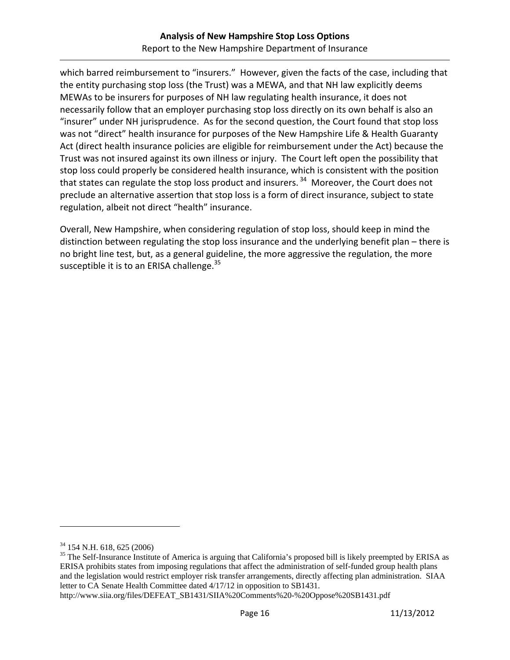which barred reimbursement to "insurers." However, given the facts of the case, including that the entity purchasing stop loss (the Trust) was a MEWA, and that NH law explicitly deems MEWAs to be insurers for purposes of NH law regulating health insurance, it does not necessarily follow that an employer purchasing stop loss directly on its own behalf is also an "insurer" under NH jurisprudence. As for the second question, the Court found that stop loss was not "direct" health insurance for purposes of the New Hampshire Life & Health Guaranty Act (direct health insurance policies are eligible for reimbursement under the Act) because the Trust was not insured against its own illness or injury. The Court left open the possibility that stop loss could properly be considered health insurance, which is consistent with the position that states can regulate the stop loss product and insurers.  $34$  Moreover, the Court does not preclude an alternative assertion that stop loss is a form of direct insurance, subject to state regulation, albeit not direct "health" insurance.

Overall, New Hampshire, when considering regulation of stop loss, should keep in mind the distinction between regulating the stop loss insurance and the underlying benefit plan – there is no bright line test, but, as a general guideline, the more aggressive the regulation, the more susceptible it is to an ERISA challenge. $35$ 

<sup>34 154</sup> N.H. 618, 625 (2006)

<sup>&</sup>lt;sup>35</sup> The Self-Insurance Institute of America is arguing that California's proposed bill is likely preempted by ERISA as ERISA prohibits states from imposing regulations that affect the administration of self-funded group health plans and the legislation would restrict employer risk transfer arrangements, directly affecting plan administration. SIAA letter to CA Senate Health Committee dated 4/17/12 in opposition to SB1431.

http://www.siia.org/files/DEFEAT\_SB1431/SIIA%20Comments%20-%20Oppose%20SB1431.pdf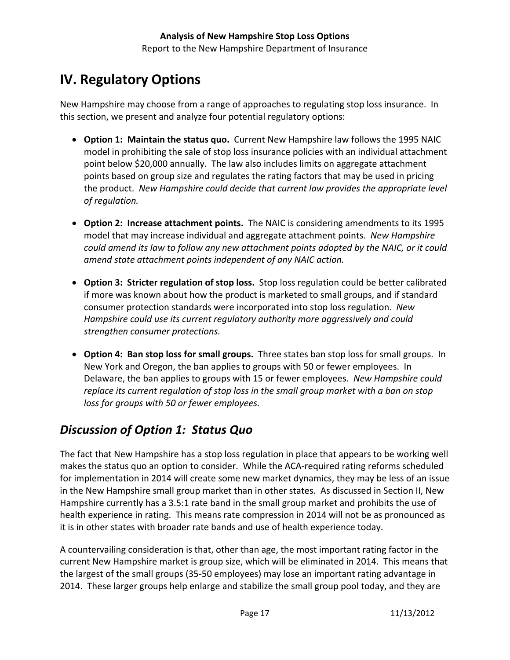# **IV. Regulatory Options**

New Hampshire may choose from a range of approaches to regulating stop loss insurance. In this section, we present and analyze four potential regulatory options:

- **Option 1: Maintain the status quo.** Current New Hampshire law follows the 1995 NAIC model in prohibiting the sale of stop loss insurance policies with an individual attachment point below \$20,000 annually. The law also includes limits on aggregate attachment points based on group size and regulates the rating factors that may be used in pricing the product. *New Hampshire could decide that current law provides the appropriate level of regulation.*
- **Option 2: Increase attachment points.** The NAIC is considering amendments to its 1995 model that may increase individual and aggregate attachment points. *New Hampshire could amend its law to follow any new attachment points adopted by the NAIC, or it could amend state attachment points independent of any NAIC action.*
- **Option 3: Stricter regulation of stop loss.** Stop loss regulation could be better calibrated if more was known about how the product is marketed to small groups, and if standard consumer protection standards were incorporated into stop loss regulation. *New Hampshire could use its current regulatory authority more aggressively and could strengthen consumer protections.*
- **Option 4: Ban stop loss for small groups.** Three states ban stop loss for small groups. In New York and Oregon, the ban applies to groups with 50 or fewer employees. In Delaware, the ban applies to groups with 15 or fewer employees. *New Hampshire could replace its current regulation of stop loss in the small group market with a ban on stop loss for groups with 50 or fewer employees.*

## *Discussion of Option 1: Status Quo*

The fact that New Hampshire has a stop loss regulation in place that appears to be working well makes the status quo an option to consider. While the ACA‐required rating reforms scheduled for implementation in 2014 will create some new market dynamics, they may be less of an issue in the New Hampshire small group market than in other states. As discussed in Section II, New Hampshire currently has a 3.5:1 rate band in the small group market and prohibits the use of health experience in rating. This means rate compression in 2014 will not be as pronounced as it is in other states with broader rate bands and use of health experience today.

A countervailing consideration is that, other than age, the most important rating factor in the current New Hampshire market is group size, which will be eliminated in 2014. This means that the largest of the small groups (35‐50 employees) may lose an important rating advantage in 2014. These larger groups help enlarge and stabilize the small group pool today, and they are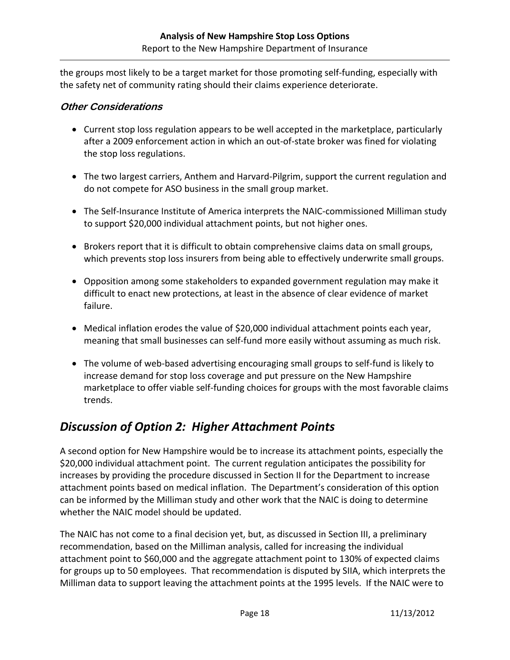the groups most likely to be a target market for those promoting self‐funding, especially with the safety net of community rating should their claims experience deteriorate.

#### **Other Considerations**

- Current stop loss regulation appears to be well accepted in the marketplace, particularly after a 2009 enforcement action in which an out‐of‐state broker was fined for violating the stop loss regulations.
- The two largest carriers, Anthem and Harvard-Pilgrim, support the current regulation and do not compete for ASO business in the small group market.
- The Self-Insurance Institute of America interprets the NAIC-commissioned Milliman study to support \$20,000 individual attachment points, but not higher ones.
- Brokers report that it is difficult to obtain comprehensive claims data on small groups, which prevents stop loss insurers from being able to effectively underwrite small groups.
- Opposition among some stakeholders to expanded government regulation may make it difficult to enact new protections, at least in the absence of clear evidence of market failure.
- Medical inflation erodes the value of \$20,000 individual attachment points each year, meaning that small businesses can self‐fund more easily without assuming as much risk.
- The volume of web‐based advertising encouraging small groups to self‐fund is likely to increase demand for stop loss coverage and put pressure on the New Hampshire marketplace to offer viable self‐funding choices for groups with the most favorable claims trends.

#### *Discussion of Option 2: Higher Attachment Points*

A second option for New Hampshire would be to increase its attachment points, especially the \$20,000 individual attachment point. The current regulation anticipates the possibility for increases by providing the procedure discussed in Section II for the Department to increase attachment points based on medical inflation. The Department's consideration of this option can be informed by the Milliman study and other work that the NAIC is doing to determine whether the NAIC model should be updated.

The NAIC has not come to a final decision yet, but, as discussed in Section III, a preliminary recommendation, based on the Milliman analysis, called for increasing the individual attachment point to \$60,000 and the aggregate attachment point to 130% of expected claims for groups up to 50 employees. That recommendation is disputed by SIIA, which interprets the Milliman data to support leaving the attachment points at the 1995 levels. If the NAIC were to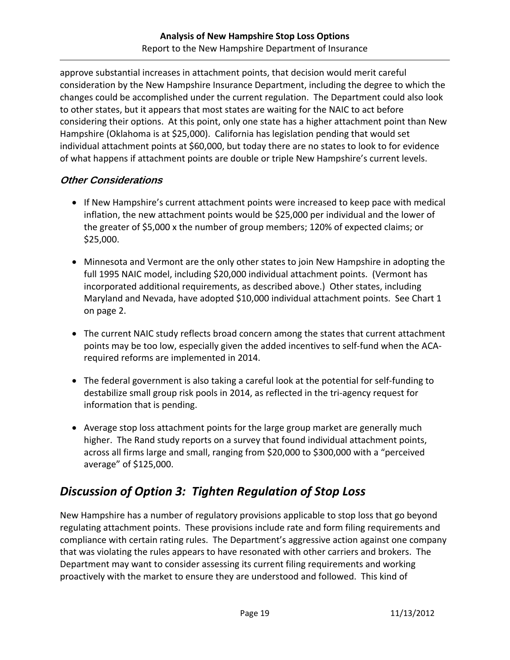approve substantial increases in attachment points, that decision would merit careful consideration by the New Hampshire Insurance Department, including the degree to which the changes could be accomplished under the current regulation. The Department could also look to other states, but it appears that most states are waiting for the NAIC to act before considering their options. At this point, only one state has a higher attachment point than New Hampshire (Oklahoma is at \$25,000). California has legislation pending that would set individual attachment points at \$60,000, but today there are no states to look to for evidence of what happens if attachment points are double or triple New Hampshire's current levels.

#### **Other Considerations**

- If New Hampshire's current attachment points were increased to keep pace with medical inflation, the new attachment points would be \$25,000 per individual and the lower of the greater of \$5,000 x the number of group members; 120% of expected claims; or \$25,000.
- Minnesota and Vermont are the only other states to join New Hampshire in adopting the full 1995 NAIC model, including \$20,000 individual attachment points. (Vermont has incorporated additional requirements, as described above.) Other states, including Maryland and Nevada, have adopted \$10,000 individual attachment points. See Chart 1 on page 2.
- The current NAIC study reflects broad concern among the states that current attachment points may be too low, especially given the added incentives to self‐fund when the ACA‐ required reforms are implemented in 2014.
- The federal government is also taking a careful look at the potential for self‐funding to destabilize small group risk pools in 2014, as reflected in the tri‐agency request for information that is pending.
- Average stop loss attachment points for the large group market are generally much higher. The Rand study reports on a survey that found individual attachment points, across all firms large and small, ranging from \$20,000 to \$300,000 with a "perceived average" of \$125,000.

## *Discussion of Option 3: Tighten Regulation of Stop Loss*

New Hampshire has a number of regulatory provisions applicable to stop loss that go beyond regulating attachment points. These provisions include rate and form filing requirements and compliance with certain rating rules. The Department's aggressive action against one company that was violating the rules appears to have resonated with other carriers and brokers. The Department may want to consider assessing its current filing requirements and working proactively with the market to ensure they are understood and followed. This kind of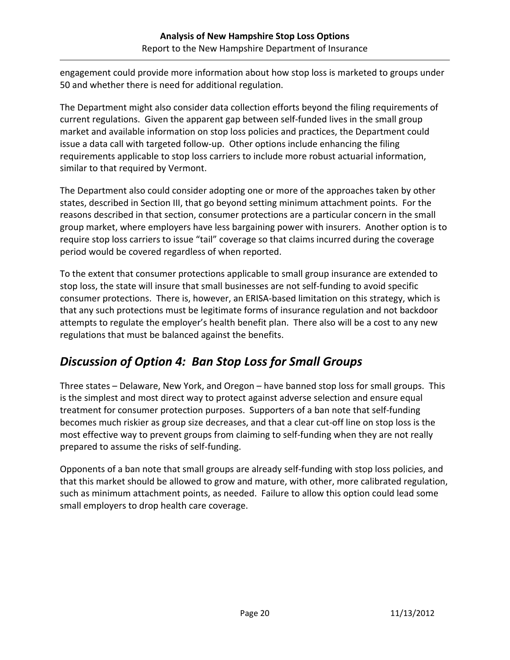engagement could provide more information about how stop loss is marketed to groups under 50 and whether there is need for additional regulation.

The Department might also consider data collection efforts beyond the filing requirements of current regulations. Given the apparent gap between self-funded lives in the small group market and available information on stop loss policies and practices, the Department could issue a data call with targeted follow‐up. Other options include enhancing the filing requirements applicable to stop loss carriers to include more robust actuarial information, similar to that required by Vermont.

The Department also could consider adopting one or more of the approaches taken by other states, described in Section III, that go beyond setting minimum attachment points. For the reasons described in that section, consumer protections are a particular concern in the small group market, where employers have less bargaining power with insurers. Another option is to require stop loss carriers to issue "tail" coverage so that claims incurred during the coverage period would be covered regardless of when reported.

To the extent that consumer protections applicable to small group insurance are extended to stop loss, the state will insure that small businesses are not self‐funding to avoid specific consumer protections. There is, however, an ERISA‐based limitation on this strategy, which is that any such protections must be legitimate forms of insurance regulation and not backdoor attempts to regulate the employer's health benefit plan. There also will be a cost to any new regulations that must be balanced against the benefits.

# *Discussion of Option 4: Ban Stop Loss for Small Groups*

Three states – Delaware, New York, and Oregon – have banned stop loss for small groups. This is the simplest and most direct way to protect against adverse selection and ensure equal treatment for consumer protection purposes. Supporters of a ban note that self‐funding becomes much riskier as group size decreases, and that a clear cut‐off line on stop loss is the most effective way to prevent groups from claiming to self-funding when they are not really prepared to assume the risks of self‐funding.

Opponents of a ban note that small groups are already self‐funding with stop loss policies, and that this market should be allowed to grow and mature, with other, more calibrated regulation, such as minimum attachment points, as needed. Failure to allow this option could lead some small employers to drop health care coverage.